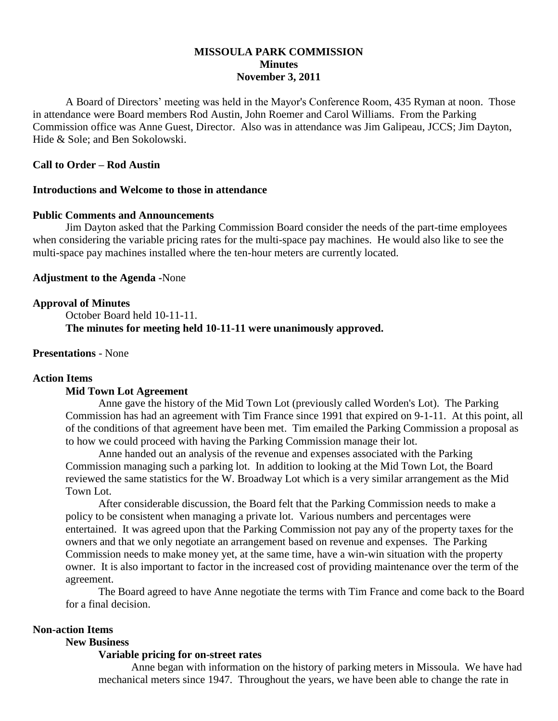# **MISSOULA PARK COMMISSION Minutes November 3, 2011**

A Board of Directors' meeting was held in the Mayor's Conference Room, 435 Ryman at noon. Those in attendance were Board members Rod Austin, John Roemer and Carol Williams. From the Parking Commission office was Anne Guest, Director. Also was in attendance was Jim Galipeau, JCCS; Jim Dayton, Hide & Sole; and Ben Sokolowski.

# **Call to Order – Rod Austin**

### **Introductions and Welcome to those in attendance**

### **Public Comments and Announcements**

Jim Dayton asked that the Parking Commission Board consider the needs of the part-time employees when considering the variable pricing rates for the multi-space pay machines. He would also like to see the multi-space pay machines installed where the ten-hour meters are currently located.

# **Adjustment to the Agenda -**None

### **Approval of Minutes**

October Board held 10-11-11. **The minutes for meeting held 10-11-11 were unanimously approved.**

# **Presentations** - None

### **Action Items**

## **Mid Town Lot Agreement**

Anne gave the history of the Mid Town Lot (previously called Worden's Lot). The Parking Commission has had an agreement with Tim France since 1991 that expired on 9-1-11. At this point, all of the conditions of that agreement have been met. Tim emailed the Parking Commission a proposal as to how we could proceed with having the Parking Commission manage their lot.

Anne handed out an analysis of the revenue and expenses associated with the Parking Commission managing such a parking lot. In addition to looking at the Mid Town Lot, the Board reviewed the same statistics for the W. Broadway Lot which is a very similar arrangement as the Mid Town Lot.

After considerable discussion, the Board felt that the Parking Commission needs to make a policy to be consistent when managing a private lot. Various numbers and percentages were entertained. It was agreed upon that the Parking Commission not pay any of the property taxes for the owners and that we only negotiate an arrangement based on revenue and expenses. The Parking Commission needs to make money yet, at the same time, have a win-win situation with the property owner. It is also important to factor in the increased cost of providing maintenance over the term of the agreement.

The Board agreed to have Anne negotiate the terms with Tim France and come back to the Board for a final decision.

#### **Non-action Items**

#### **New Business**

#### **Variable pricing for on-street rates**

Anne began with information on the history of parking meters in Missoula. We have had mechanical meters since 1947. Throughout the years, we have been able to change the rate in